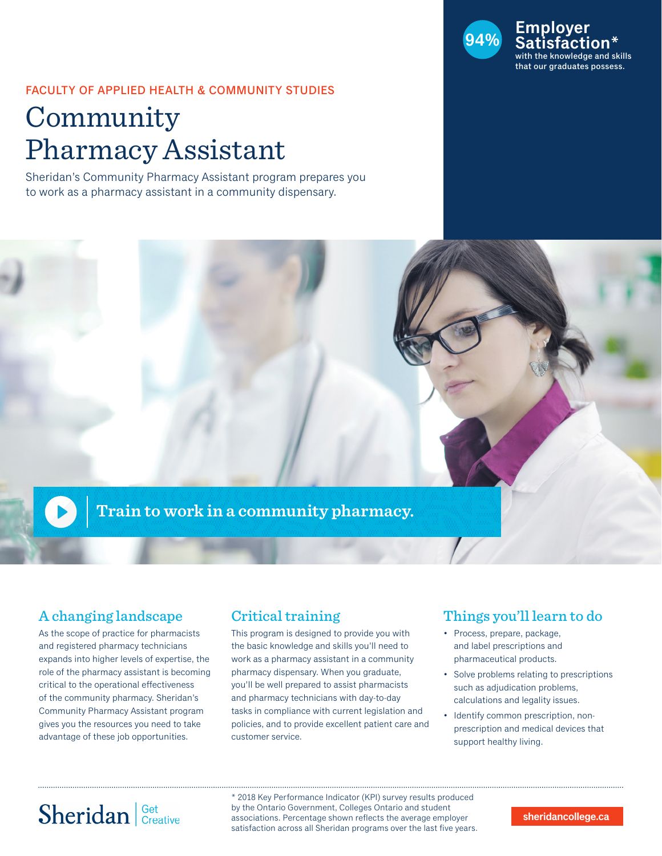

### FACULTY OF APPLIED HEALTH & COMMUNITY STUDIES

# Community Pharmacy Assistant

Sheridan's Community Pharmacy Assistant program prepares you to work as a pharmacy assistant in a community dispensary.



## A changing landscape

As the scope of practice for pharmacists and registered pharmacy technicians expands into higher levels of expertise, the role of the pharmacy assistant is becoming critical to the operational effectiveness of the community pharmacy. Sheridan's Community Pharmacy Assistant program gives you the resources you need to take advantage of these job opportunities.

## Critical training

This program is designed to provide you with the basic knowledge and skills you'll need to work as a pharmacy assistant in a community pharmacy dispensary. When you graduate, you'll be well prepared to assist pharmacists and pharmacy technicians with day-to-day tasks in compliance with current legislation and policies, and to provide excellent patient care and customer service.

## Things you'll learn to do

- Process, prepare, package, and label prescriptions and pharmaceutical products.
- Solve problems relating to prescriptions such as adjudication problems, calculations and legality issues.
- Identify common prescription, nonprescription and medical devices that support healthy living.

# Sheridan Get Creative

\* 2018 Key Performance Indicator (KPI) survey results produced by the Ontario Government, Colleges Ontario and student associations. Percentage shown reflects the average employer satisfaction across all Sheridan programs over the last five years.